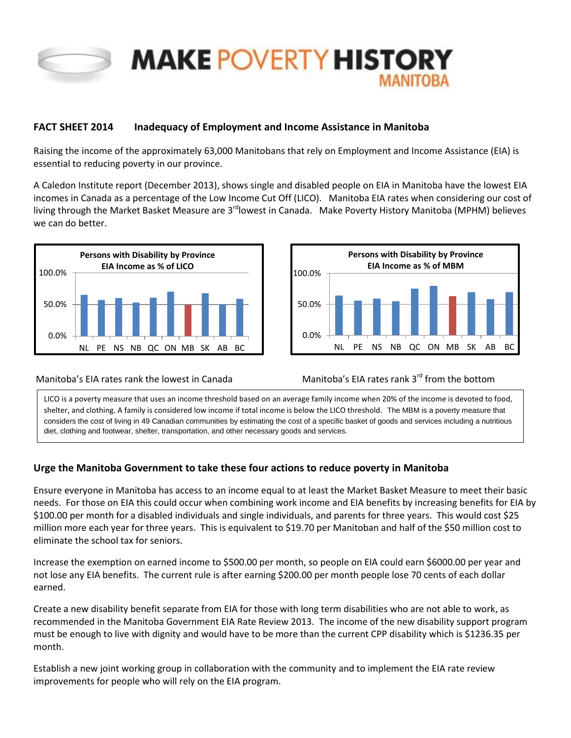

# **MAKE POVERTY HISTORY**

## **FACT SHEET 2014 Inadequacy of Employment and Income Assistance in Manitoba**

Raising the income of the approximately 63,000 Manitobans that rely on Employment and Income Assistance (EIA) is essential to reducing poverty in our province.

A Caledon Institute report (December 2013), shows single and disabled people on EIA in Manitoba have the lowest EIA incomes in Canada as a percentage of the Low Income Cut Off (LICO). Manitoba EIA rates when considering our cost of living through the Market Basket Measure are 3<sup>rd</sup>lowest in Canada. Make Poverty History Manitoba (MPHM) believes we can do better.





#### Manitoba's EIA rates rank the lowest in Canada Manitoba's EIA rates rank 3<sup>rd</sup> from the bottom

LICO is a poverty measure that uses an income threshold based on an average family income when 20% of the income is devoted to food, shelter, and clothing. A family is considered low income if total income is below the LICO threshold. The MBM is a poverty measure that considers the cost of living in 49 Canadian communities by estimating the cost of a specific basket of goods and services including a nutritious diet, clothing and footwear, shelter, transportation, and other necessary goods and services.

## **Urge the Manitoba Government to take these four actions to reduce poverty in Manitoba**

Ensure everyone in Manitoba has access to an income equal to at least the Market Basket Measure to meet their basic needs. For those on EIA this could occur when combining work income and EIA benefits by increasing benefits for EIA by \$100.00 per month for a disabled individuals and single individuals, and parents for three years. This would cost \$25 million more each year for three years. This is equivalent to \$19.70 per Manitoban and half of the \$50 million cost to eliminate the school tax for seniors.

Increase the exemption on earned income to \$500.00 per month, so people on EIA could earn \$6000.00 per year and not lose any EIA benefits. The current rule is after earning \$200.00 per month people lose 70 cents of each dollar earned.

Create a new disability benefit separate from EIA for those with long term disabilities who are not able to work, as recommended in the Manitoba Government EIA Rate Review 2013. The income of the new disability support program must be enough to live with dignity and would have to be more than the current CPP disability which is \$1236.35 per month.

Establish a new joint working group in collaboration with the community and to implement the EIA rate review improvements for people who will rely on the EIA program.